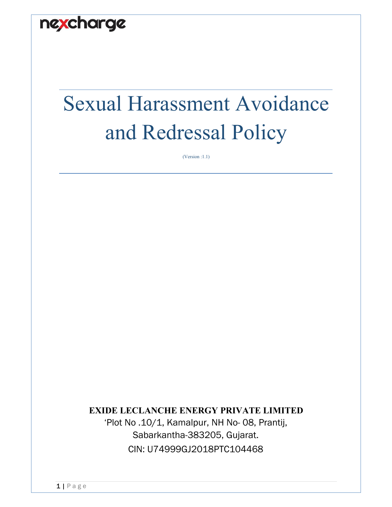

# Sexual Harassment Avoidance and Redressal Policy

(Version :1.1)

### **EXIDE LECLANCHE ENERGY PRIVATE LIMITED**

'Plot No .10/1, Kamalpur, NH No- 08, Prantij, Sabarkantha-383205, Gujarat. CIN: U74999GJ2018PTC104468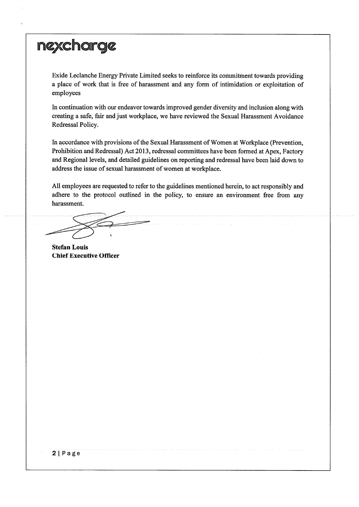Exide Leclanche Energy Private Limited seeks to reinforce its commitment towards providing a place of work that is free of harassment and any form of intimidation or exploitation of employees

In continuation with our endeavor towards improved gender diversity and inclusion along with creating a safe, fair and just workplace, we have reviewed the Sexual Harassment Avoidance Redressal Policy.

In accordance with provisions of the Sexual Harassment of Women at Workplace (Prevention, Prohibition and Redressal) Act 2013, redressal committees have been formed at Apex, Factory and Regional levels, and detailed guidelines on reporting and redressal have been laid down to address the issue of sexual harassment of women at workplace.

All employees are requested to refer to the guidelines mentioned herein, to act responsibly and adhere to the protocol outlined in the policy, to ensure an environment free from any harassment.

**Stefan Louis Chief Executive Officer**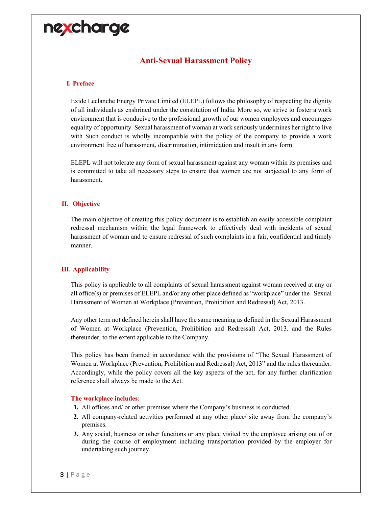### **Anti-Sexual Harassment Policy**

#### **I. Preface**

Exide Leclanche Energy Private Limited (ELEPL) follows the philosophy of respecting the dignity of all individuals as enshrined under the constitution of India. More so, we strive to foster a work environment that is conducive to the professional growth of our women employees and encourages equality of opportunity. Sexual harassment of woman at work seriously undermines her right to live with Such conduct is wholly incompatible with the policy of the company to provide a work environment free of harassment, discrimination, intimidation and insult in any form.

ELEPL will not tolerate any form of sexual harassment against any woman within its premises and is committed to take all necessary steps to ensure that women are not subjected to any form of harassment.

#### **II. Objective**

The main objective of creating this policy document is to establish an easily accessible complaint redressal mechanism within the legal framework to effectively deal with incidents of sexual harassment of woman and to ensure redressal of such complaints in a fair, confidential and timely manner.

#### **III. Applicability**

This policy is applicable to all complaints of sexual harassment against woman received at any or all office(s) or premises of ELEPL and/or any other place defined as "workplace" under the Sexual Harassment of Women at Workplace (Prevention, Prohibition and Redressal) Act, 2013.

Any other term not defined herein shall have the same meaning as defined in the Sexual Harassment of Women at Workplace (Prevention, Prohibition and Redressal) Act, 2013. and the Rules thereunder, to the extent applicable to the Company.

This policy has been framed in accordance with the provisions of "The Sexual Harassment of Women at Workplace (Prevention, Prohibition and Redressal) Act, 2013" and the rules thereunder. Accordingly, while the policy covers all the key aspects of the act, for any further clarification reference shall always be made to the Act.

#### **The workplace includes**:

- **1.** All offices and/ or other premises where the Company's business is conducted.
- **2.** All company-related activities performed at any other place/ site away from the company's premises.
- **3.** Any social, business or other functions or any place visited by the employee arising out of or during the course of employment including transportation provided by the employer for undertaking such journey.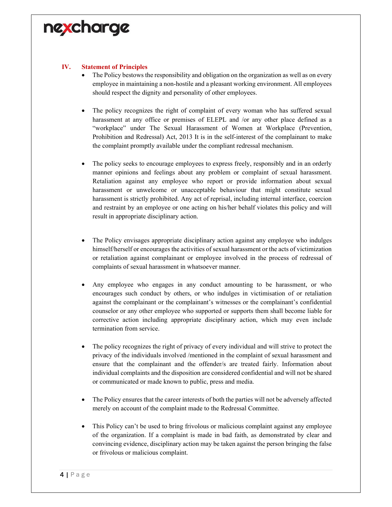#### **IV. Statement of Principles**

- The Policy bestows the responsibility and obligation on the organization as well as on every employee in maintaining a non-hostile and a pleasant working environment. All employees should respect the dignity and personality of other employees.
- The policy recognizes the right of complaint of every woman who has suffered sexual harassment at any office or premises of ELEPL and /or any other place defined as a "workplace" under The Sexual Harassment of Women at Workplace (Prevention, Prohibition and Redressal) Act, 2013 It is in the self-interest of the complainant to make the complaint promptly available under the compliant redressal mechanism.
- The policy seeks to encourage employees to express freely, responsibly and in an orderly manner opinions and feelings about any problem or complaint of sexual harassment. Retaliation against any employee who report or provide information about sexual harassment or unwelcome or unacceptable behaviour that might constitute sexual harassment is strictly prohibited. Any act of reprisal, including internal interface, coercion and restraint by an employee or one acting on his/her behalf violates this policy and will result in appropriate disciplinary action.
- The Policy envisages appropriate disciplinary action against any employee who indulges himself/herself or encourages the activities of sexual harassment or the acts of victimization or retaliation against complainant or employee involved in the process of redressal of complaints of sexual harassment in whatsoever manner.
- Any employee who engages in any conduct amounting to be harassment, or who encourages such conduct by others, or who indulges in victimisation of or retaliation against the complainant or the complainant's witnesses or the complainant's confidential counselor or any other employee who supported or supports them shall become liable for corrective action including appropriate disciplinary action, which may even include termination from service.
- The policy recognizes the right of privacy of every individual and will strive to protect the privacy of the individuals involved /mentioned in the complaint of sexual harassment and ensure that the complainant and the offender/s are treated fairly. Information about individual complaints and the disposition are considered confidential and will not be shared or communicated or made known to public, press and media.
- The Policy ensures that the career interests of both the parties will not be adversely affected merely on account of the complaint made to the Redressal Committee.
- This Policy can't be used to bring frivolous or malicious complaint against any employee of the organization. If a complaint is made in bad faith, as demonstrated by clear and convincing evidence, disciplinary action may be taken against the person bringing the false or frivolous or malicious complaint.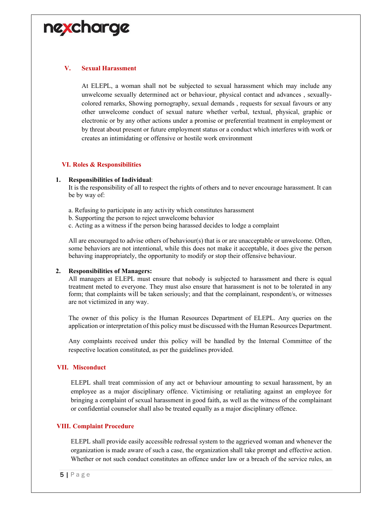#### **V. Sexual Harassment**

At ELEPL, a woman shall not be subjected to sexual harassment which may include any unwelcome sexually determined act or behaviour, physical contact and advances , sexuallycolored remarks, Showing pornography, sexual demands , requests for sexual favours or any other unwelcome conduct of sexual nature whether verbal, textual, physical, graphic or electronic or by any other actions under a promise or preferential treatment in employment or by threat about present or future employment status or a conduct which interferes with work or creates an intimidating or offensive or hostile work environment

#### **VI. Roles & Responsibilities**

#### **1. Responsibilities of Individual**:

It is the responsibility of all to respect the rights of others and to never encourage harassment. It can be by way of:

- a. Refusing to participate in any activity which constitutes harassment
- b. Supporting the person to reject unwelcome behavior
- c. Acting as a witness if the person being harassed decides to lodge a complaint

All are encouraged to advise others of behaviour(s) that is or are unacceptable or unwelcome. Often, some behaviors are not intentional, while this does not make it acceptable, it does give the person behaving inappropriately, the opportunity to modify or stop their offensive behaviour.

#### **2. Responsibilities of Managers:**

All managers at ELEPL must ensure that nobody is subjected to harassment and there is equal treatment meted to everyone. They must also ensure that harassment is not to be tolerated in any form; that complaints will be taken seriously; and that the complainant, respondent/s, or witnesses are not victimized in any way.

The owner of this policy is the Human Resources Department of ELEPL. Any queries on the application or interpretation of this policy must be discussed with the Human Resources Department.

Any complaints received under this policy will be handled by the Internal Committee of the respective location constituted, as per the guidelines provided.

#### **VII. Misconduct**

ELEPL shall treat commission of any act or behaviour amounting to sexual harassment, by an employee as a major disciplinary offence. Victimising or retaliating against an employee for bringing a complaint of sexual harassment in good faith, as well as the witness of the complainant or confidential counselor shall also be treated equally as a major disciplinary offence.

#### **VIII. Complaint Procedure**

ELEPL shall provide easily accessible redressal system to the aggrieved woman and whenever the organization is made aware of such a case, the organization shall take prompt and effective action. Whether or not such conduct constitutes an offence under law or a breach of the service rules, an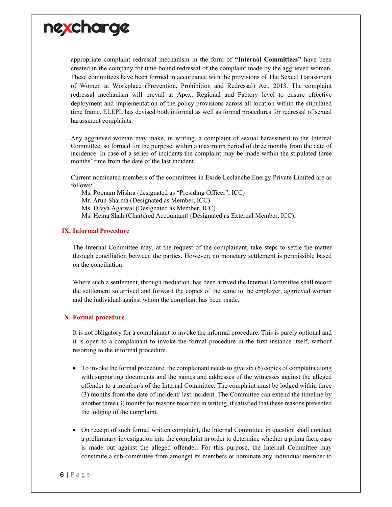

appropriate complaint redressal mechanism in the form of **"Internal Committees"** have been created in the company for time-bound redressal of the complaint made by the aggrieved woman. These committees have been formed in accordance with the provisions of The Sexual Harassment of Women at Workplace (Prevention, Prohibition and Redressal) Act, 2013. The complaint redressal mechanism will prevail at Apex, Regional and Factory level to ensure effective deployment and implementation of the policy provisions across all location within the stipulated time frame. ELEPL has devised both informal as well as formal procedures for redressal of sexual harassment complaints.

Any aggrieved woman may make, in writing, a complaint of sexual harassment to the Internal Committee, so formed for the purpose, within a maximum period of three months from the date of incidence. In case of a series of incidents the complaint may be made within the stipulated three months' time from the date of the last incident.

Current nominated members of the committees in Exide Leclanche Energy Private Limited are as follows:

Ms. Poonam Mishra (designated as "Presiding Officer", ICC)

Mr. Arun Sharma (Designated as Member, ICC)

Ms. Divya Agarwal (Designated as Member, ICC)

Ms. Hema Shah (Chartered Accountant) (Designated as External Member, ICC);

#### **IX. Informal Procedure**

The Internal Committee may, at the request of the complainant, take steps to settle the matter through conciliation between the parties. However, no monetary settlement is permissible based on the conciliation.

Where such a settlement, through mediation, has been arrived the Internal Committee shall record the settlement so arrived and forward the copies of the same to the employer, aggrieved woman and the individual against whom the compliant has been made.

#### **X. Formal procedure**

It is not obligatory for a complainant to invoke the informal procedure. This is purely optional and it is open to a complainant to invoke the formal procedure in the first instance itself, without resorting to the informal procedure.

- $\bullet$  To invoke the formal procedure, the complainant needs to give six (6) copies of complaint along with supporting documents and the names and addresses of the witnesses against the alleged offender to a member/s of the Internal Committee. The complaint must be lodged within three (3) months from the date of incident/ last incident. The Committee can extend the timeline by another three (3) months for reasons recorded in writing, if satisfied that these reasons prevented the lodging of the complaint.
- On receipt of such formal written complaint, the Internal Committee in question shall conduct a preliminary investigation into the complaint in order to determine whether a prima facie case is made out against the alleged offender. For this purpose, the Internal Committee may constitute a sub-committee from amongst its members or nominate any individual member to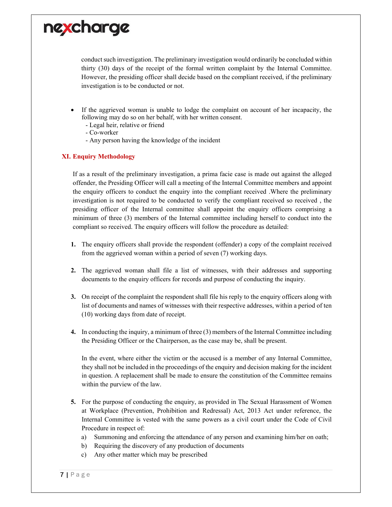

conduct such investigation. The preliminary investigation would ordinarily be concluded within thirty (30) days of the receipt of the formal written complaint by the Internal Committee. However, the presiding officer shall decide based on the compliant received, if the preliminary investigation is to be conducted or not.

- If the aggrieved woman is unable to lodge the complaint on account of her incapacity, the following may do so on her behalf, with her written consent.
	- Legal heir, relative or friend
	- Co-worker
	- Any person having the knowledge of the incident

#### **XI. Enquiry Methodology**

If as a result of the preliminary investigation, a prima facie case is made out against the alleged offender, the Presiding Officer will call a meeting of the Internal Committee members and appoint the enquiry officers to conduct the enquiry into the compliant received .Where the preliminary investigation is not required to be conducted to verify the compliant received so received , the presiding officer of the Internal committee shall appoint the enquiry officers comprising a minimum of three (3) members of the Internal committee including herself to conduct into the compliant so received. The enquiry officers will follow the procedure as detailed:

- **1.** The enquiry officers shall provide the respondent (offender) a copy of the complaint received from the aggrieved woman within a period of seven (7) working days.
- **2.** The aggrieved woman shall file a list of witnesses, with their addresses and supporting documents to the enquiry officers for records and purpose of conducting the inquiry.
- **3.** On receipt of the complaint the respondent shall file his reply to the enquiry officers along with list of documents and names of witnesses with their respective addresses, within a period of ten (10) working days from date of receipt.
- **4.** In conducting the inquiry, a minimum of three (3) members of the Internal Committee including the Presiding Officer or the Chairperson, as the case may be, shall be present.

In the event, where either the victim or the accused is a member of any Internal Committee, they shall not be included in the proceedings of the enquiry and decision making for the incident in question. A replacement shall be made to ensure the constitution of the Committee remains within the purview of the law.

- **5.** For the purpose of conducting the enquiry, as provided in The Sexual Harassment of Women at Workplace (Prevention, Prohibition and Redressal) Act, 2013 Act under reference, the Internal Committee is vested with the same powers as a civil court under the Code of Civil Procedure in respect of:
	- a) Summoning and enforcing the attendance of any person and examining him/her on oath;
	- b) Requiring the discovery of any production of documents
	- c) Any other matter which may be prescribed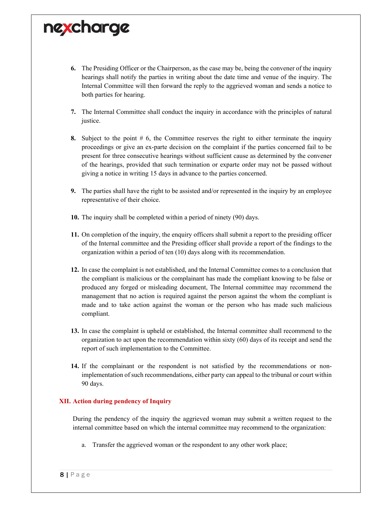- **6.** The Presiding Officer or the Chairperson, as the case may be, being the convener of the inquiry hearings shall notify the parties in writing about the date time and venue of the inquiry. The Internal Committee will then forward the reply to the aggrieved woman and sends a notice to both parties for hearing.
- **7.** The Internal Committee shall conduct the inquiry in accordance with the principles of natural justice.
- **8.** Subject to the point # 6, the Committee reserves the right to either terminate the inquiry proceedings or give an ex-parte decision on the complaint if the parties concerned fail to be present for three consecutive hearings without sufficient cause as determined by the convener of the hearings, provided that such termination or exparte order may not be passed without giving a notice in writing 15 days in advance to the parties concerned.
- **9.** The parties shall have the right to be assisted and/or represented in the inquiry by an employee representative of their choice.
- **10.** The inquiry shall be completed within a period of ninety (90) days.
- **11.** On completion of the inquiry, the enquiry officers shall submit a report to the presiding officer of the Internal committee and the Presiding officer shall provide a report of the findings to the organization within a period of ten (10) days along with its recommendation.
- **12.** In case the complaint is not established, and the Internal Committee comes to a conclusion that the compliant is malicious or the complainant has made the compliant knowing to be false or produced any forged or misleading document, The Internal committee may recommend the management that no action is required against the person against the whom the compliant is made and to take action against the woman or the person who has made such malicious compliant.
- **13.** In case the complaint is upheld or established, the Internal committee shall recommend to the organization to act upon the recommendation within sixty (60) days of its receipt and send the report of such implementation to the Committee.
- **14.** If the complainant or the respondent is not satisfied by the recommendations or nonimplementation of such recommendations, either party can appeal to the tribunal or court within 90 days.

#### **XII. Action during pendency of Inquiry**

During the pendency of the inquiry the aggrieved woman may submit a written request to the internal committee based on which the internal committee may recommend to the organization:

a. Transfer the aggrieved woman or the respondent to any other work place;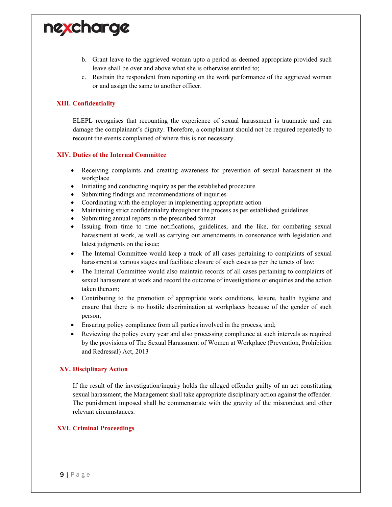

- b. Grant leave to the aggrieved woman upto a period as deemed appropriate provided such leave shall be over and above what she is otherwise entitled to;
- c. Restrain the respondent from reporting on the work performance of the aggrieved woman or and assign the same to another officer.

#### **XIII. Confidentiality**

ELEPL recognises that recounting the experience of sexual harassment is traumatic and can damage the complainant's dignity. Therefore, a complainant should not be required repeatedly to recount the events complained of where this is not necessary.

#### **XIV. Duties of the Internal Committee**

- Receiving complaints and creating awareness for prevention of sexual harassment at the workplace
- Initiating and conducting inquiry as per the established procedure
- Submitting findings and recommendations of inquiries
- Coordinating with the employer in implementing appropriate action
- Maintaining strict confidentiality throughout the process as per established guidelines
- Submitting annual reports in the prescribed format
- Issuing from time to time notifications, guidelines, and the like, for combating sexual harassment at work, as well as carrying out amendments in consonance with legislation and latest judgments on the issue;
- The Internal Committee would keep a track of all cases pertaining to complaints of sexual harassment at various stages and facilitate closure of such cases as per the tenets of law;
- The Internal Committee would also maintain records of all cases pertaining to complaints of sexual harassment at work and record the outcome of investigations or enquiries and the action taken thereon;
- Contributing to the promotion of appropriate work conditions, leisure, health hygiene and ensure that there is no hostile discrimination at workplaces because of the gender of such person;
- Ensuring policy compliance from all parties involved in the process, and;
- Reviewing the policy every year and also processing compliance at such intervals as required by the provisions of The Sexual Harassment of Women at Workplace (Prevention, Prohibition and Redressal) Act, 2013

#### **XV. Disciplinary Action**

If the result of the investigation/inquiry holds the alleged offender guilty of an act constituting sexual harassment, the Management shall take appropriate disciplinary action against the offender. The punishment imposed shall be commensurate with the gravity of the misconduct and other relevant circumstances.

#### **XVI. Criminal Proceedings**